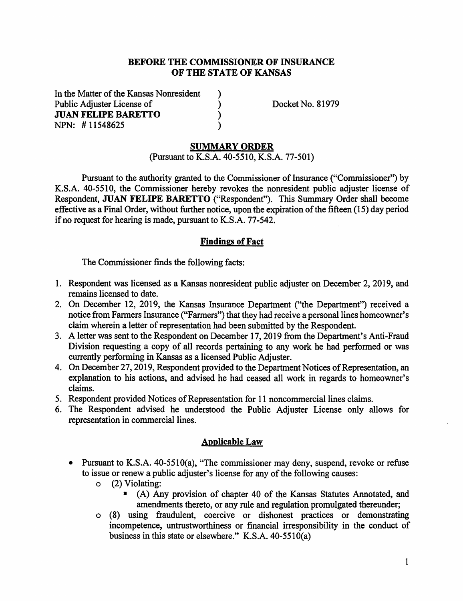### **BEFORE THE COMMISSIONER OF INSURANCE OF THE STATE OF KANSAS**

) )  $\mathcal{L}$ )

In the Matter of the Kansas Nonresident Public Adjuster License of **JUAN FELIPE BARETTO**  NPN: # 11548625

Docket No. 81979

#### **SUMMARY ORDER**

(Pursuant to K.S.A. 40-5510, K.S.A. 77-501)

Pursuant to the authority granted to the Commissioner of Insurance ("Commissioner") by K.S.A. 40-5510, the Commissioner hereby revokes the nonresident public adjuster license of Respondent, **JUAN FELIPE BARETTO** ("Respondent"). This Summary Order shall become effective as a Final Order, without further notice, upon the expiration of the fifteen (15) day period if no request for hearing is made, pursuant to K.S.A. 77-542.

## **Findings of Fact**

The Commissioner finds the following facts:

- 1. Respondent was licensed as a Kansas nonresident public adjuster on December 2, 2019, and remains licensed to date.
- 2. On December 12, 2019, the Kansas Insurance Department ("the Department") received a notice from Farmers Insurance ("Farmers") that they had receive a personal lines homeowner's claim wherein a letter of representation had been submitted by the Respondent.
- 3. A letter was sent to the Respondent on December 17, 2019 from the Department's Anti-Fraud Division requesting a copy of all records pertaining to any work he had performed or was currently performing in Kansas as a licensed Public Adjuster.
- 4. On December 27, 2019, Respondent provided to the Department Notices of Representation, an explanation to his actions, and advised he had ceased all work in regards to homeowner's claims.
- 5. Respondent provided Notices of Representation for 11 noncommercial lines claims.
- 6. The Respondent advised he understood the Public Adjuster License only allows for representation in commercial lines.

## **Applicable Law**

- Pursuant to **K.S.A.** 40-5510(a), "The commissioner may deny, suspend, revoke or refuse to issue or renew a public adjuster's license for any of the following causes:
	- o (2) Violating:
		- (A) Any provision of chapter 40 of the Kansas Statutes Annotated, and amendments thereto, or any rule and regulation promulgated thereunder;
	- o (8) using fraudulent, coercive or dishonest practices or demonstrating incompetence, untrustworthiness or financial irresponsibility in the conduct of business in this state or elsewhere." K.S.A. 40-5510(a)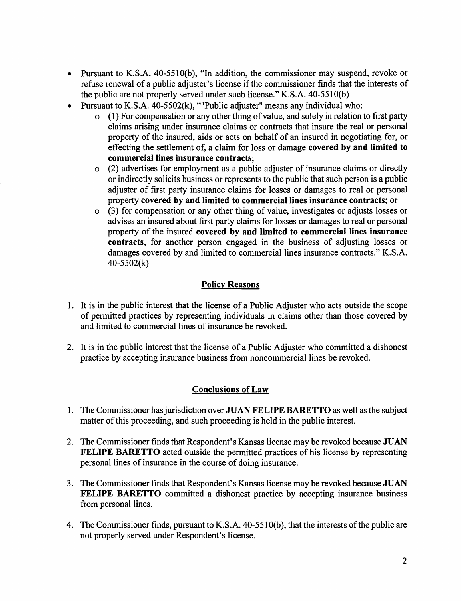- Pursuant to K.S.A. 40-5510(b), "In addition, the commissioner may suspend, revoke or refuse renewal of a public adjuster's license if the commissioner finds that the interests of the public are not properly served under such license." K.S.A. 40-5510(b)
- Pursuant to K.S.A. 40-5502(k), '"'Public adjuster" means any individual who:
	- o (1) For compensation or any other thing of value, and solely in relation to first party claims arising under insurance claims or contracts that insure the real or personal property of the insured, aids or acts on behalf of an insured in negotiating for, or effecting the settlement of, a claim for loss or damage **covered by and limited to commercial lines insurance contracts;**
	- o (2) advertises for employment as a public adjuster of insurance claims or directly or indirectly solicits business or represents to the public that such person is a public adjuster of first party insurance claims for losses or damages to real or personal property **covered by and limited to commercial lines insurance contracts;** or
	- o (3) for compensation or any other thing of value, investigates or adjusts losses or advises an insured about first party claims for losses or damages to real or personal property of the insured **covered by and limited to commercial lines insurance contracts,** for another person engaged in the business of adjusting losses or damages covered by and limited to commercial lines insurance contracts." K.S.A. 40-5502(k)

## **Policy Reasons**

- 1. It is in the public interest that the license of a Public Adjuster who acts outside the scope of permitted practices by representing individuals in claims other than those covered by and limited to commercial lines of insurance be revoked.
- 2. It is in the public interest that the license of a Public Adjuster who committed a dishonest practice by accepting insurance business from noncommercial lines be revoked.

# **Conclusions of Law**

- 1. The Commissioner has jurisdiction over **JUAN FELIPE BARETTO** as well as the subject matter of this proceeding, and such proceeding is held in the public interest.
- 2. The Commissioner finds that Respondent's Kansas license may be revoked because **JUAN FELIPE BARETTO** acted outside the permitted practices of his license by representing personal lines of insurance in the course of doing insurance.
- 3. The Commissioner finds that Respondent's Kansas license may be revoked because **JUAN FELIPE BARETTO** committed a dishonest practice by accepting insurance business from personal lines.
- 4. The Commissioner finds, pursuant to K.S.A. 40-5510(b), that the interests of the public are not properly served under Respondent's license.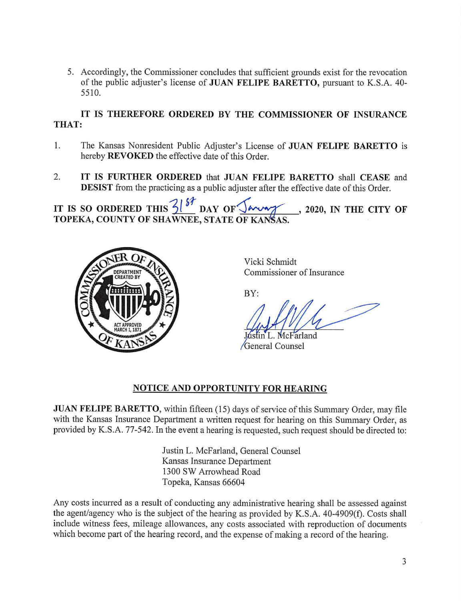5. Accordingly, the Commissioner concludes that sufficient grounds exist for the revocation of the public adjuster's license of **JUAN FELIPE BARETTO,** pursuant to K.S.A. 40- 5510.

## **IT IS THEREFORE ORDERED BY THE COMMISSIONER OF INSURANCE THAT:**

- 1. The Kansas Nonresident Public Adjuster's License of **JUAN FELIPE BARETTO** is hereby **REVOKED** the effective date of this Order.
- 2. **IT IS FURTHER ORDERED** that **JUAN FELIPE BARETTO** shall **CEASE** and **DESIST** from the practicing as a public adjuster after the effective date of this Order.

IT IS SO ORDERED THIS  $\frac{2}{3}$   $\frac{87}{9}$  DAY OF  $\sqrt{2}$  , 2020, IN THE CITY OF **TOPEKA, COUNTY OF SHAWNEE, STATE OF KANSAS.** 



Vicki Schmidt Commissioner of Insurance

BY:

in L. McFarland General Counsel

## **NOTICE AND OPPORTUNITY FOR HEARING**

**JUAN FELIPE BARETTO,** within fifteen (15) days of service of this Summary Order, may file with the Kansas Insurance Department a written request for hearing on this Summary Order, as provided by K.S.A. 77-542. In the event a hearing is requested, such request should be directed to:

> Justin L. McFarland, General Counsel Kansas Insurance Department 1300 SW Arrowhead Road Topeka, Kansas 66604

Any costs incurred as a result of conducting any administrative hearing shall be assessed against the agent/agency who is the subject of the hearing as provided by K.S.A. 40-4909(f). Costs shall include witness fees, mileage allowances, any costs associated with reproduction of documents which become part of the hearing record, and the expense of making a record of the hearing.